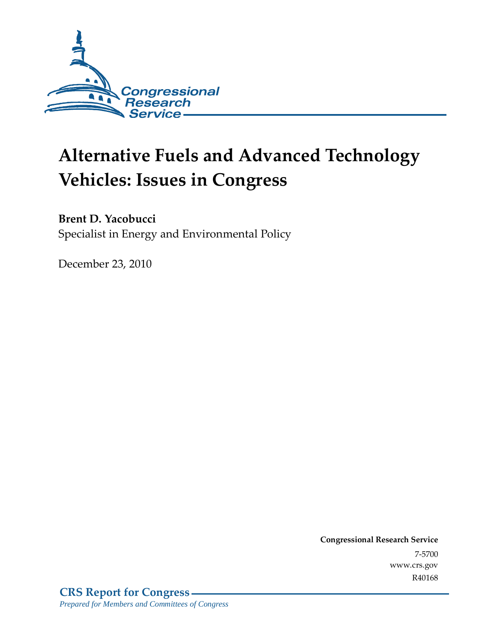

# **Alternative Fuels and Advanced Technology Vehicles: Issues in Congress**

## **Brent D. Yacobucci**

Specialist in Energy and Environmental Policy

December 23, 2010

**Congressional Research Service** 7-5700 www.crs.gov R40168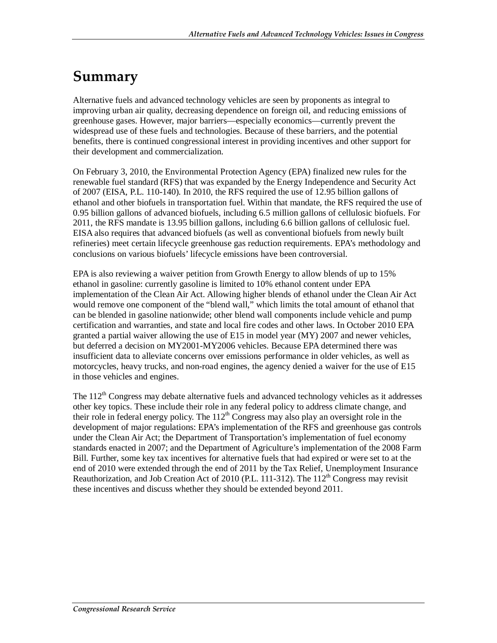## **Summary**

Alternative fuels and advanced technology vehicles are seen by proponents as integral to improving urban air quality, decreasing dependence on foreign oil, and reducing emissions of greenhouse gases. However, major barriers—especially economics—currently prevent the widespread use of these fuels and technologies. Because of these barriers, and the potential benefits, there is continued congressional interest in providing incentives and other support for their development and commercialization.

On February 3, 2010, the Environmental Protection Agency (EPA) finalized new rules for the renewable fuel standard (RFS) that was expanded by the Energy Independence and Security Act of 2007 (EISA, P.L. 110-140). In 2010, the RFS required the use of 12.95 billion gallons of ethanol and other biofuels in transportation fuel. Within that mandate, the RFS required the use of 0.95 billion gallons of advanced biofuels, including 6.5 million gallons of cellulosic biofuels. For 2011, the RFS mandate is 13.95 billion gallons, including 6.6 billion gallons of cellulosic fuel. EISA also requires that advanced biofuels (as well as conventional biofuels from newly built refineries) meet certain lifecycle greenhouse gas reduction requirements. EPA's methodology and conclusions on various biofuels' lifecycle emissions have been controversial.

EPA is also reviewing a waiver petition from Growth Energy to allow blends of up to 15% ethanol in gasoline: currently gasoline is limited to 10% ethanol content under EPA implementation of the Clean Air Act. Allowing higher blends of ethanol under the Clean Air Act would remove one component of the "blend wall," which limits the total amount of ethanol that can be blended in gasoline nationwide; other blend wall components include vehicle and pump certification and warranties, and state and local fire codes and other laws. In October 2010 EPA granted a partial waiver allowing the use of E15 in model year (MY) 2007 and newer vehicles, but deferred a decision on MY2001-MY2006 vehicles. Because EPA determined there was insufficient data to alleviate concerns over emissions performance in older vehicles, as well as motorcycles, heavy trucks, and non-road engines, the agency denied a waiver for the use of E15 in those vehicles and engines.

The  $112<sup>th</sup>$  Congress may debate alternative fuels and advanced technology vehicles as it addresses other key topics. These include their role in any federal policy to address climate change, and their role in federal energy policy. The  $112<sup>th</sup>$  Congress may also play an oversight role in the development of major regulations: EPA's implementation of the RFS and greenhouse gas controls under the Clean Air Act; the Department of Transportation's implementation of fuel economy standards enacted in 2007; and the Department of Agriculture's implementation of the 2008 Farm Bill. Further, some key tax incentives for alternative fuels that had expired or were set to at the end of 2010 were extended through the end of 2011 by the Tax Relief, Unemployment Insurance Reauthorization, and Job Creation Act of 2010 (P.L. 111-312). The  $112<sup>th</sup>$  Congress may revisit these incentives and discuss whether they should be extended beyond 2011.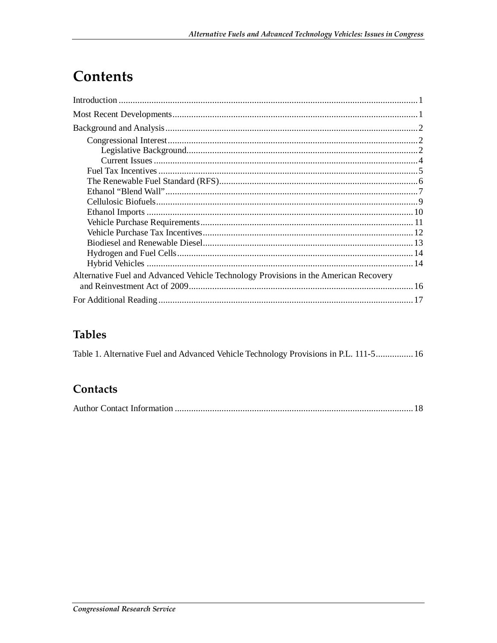## **Contents**

| Alternative Fuel and Advanced Vehicle Technology Provisions in the American Recovery |  |
|--------------------------------------------------------------------------------------|--|
|                                                                                      |  |
|                                                                                      |  |

### **Tables**

Table 1. Alternative Fuel and Advanced Vehicle Technology Provisions in P.L. 111-5................ 16

### Contacts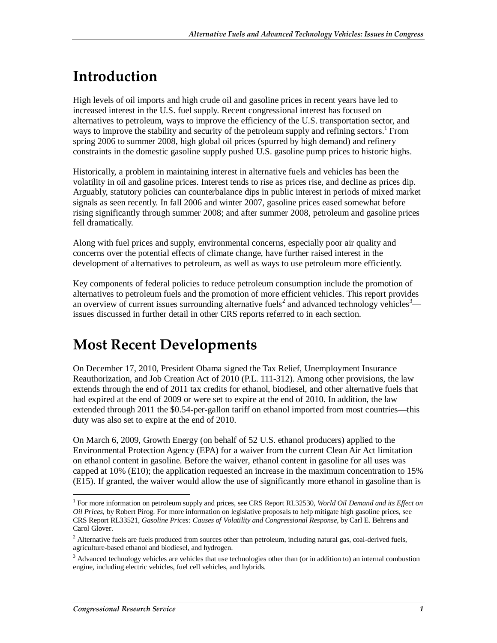## **Introduction**

High levels of oil imports and high crude oil and gasoline prices in recent years have led to increased interest in the U.S. fuel supply. Recent congressional interest has focused on alternatives to petroleum, ways to improve the efficiency of the U.S. transportation sector, and ways to improve the stability and security of the petroleum supply and refining sectors.<sup>1</sup> From spring 2006 to summer 2008, high global oil prices (spurred by high demand) and refinery constraints in the domestic gasoline supply pushed U.S. gasoline pump prices to historic highs.

Historically, a problem in maintaining interest in alternative fuels and vehicles has been the volatility in oil and gasoline prices. Interest tends to rise as prices rise, and decline as prices dip. Arguably, statutory policies can counterbalance dips in public interest in periods of mixed market signals as seen recently. In fall 2006 and winter 2007, gasoline prices eased somewhat before rising significantly through summer 2008; and after summer 2008, petroleum and gasoline prices fell dramatically.

Along with fuel prices and supply, environmental concerns, especially poor air quality and concerns over the potential effects of climate change, have further raised interest in the development of alternatives to petroleum, as well as ways to use petroleum more efficiently.

Key components of federal policies to reduce petroleum consumption include the promotion of alternatives to petroleum fuels and the promotion of more efficient vehicles. This report provides an overview of current issues surrounding alternative fuels<sup>2</sup> and advanced technology vehicles<sup>3</sup> issues discussed in further detail in other CRS reports referred to in each section.

## **Most Recent Developments**

On December 17, 2010, President Obama signed the Tax Relief, Unemployment Insurance Reauthorization, and Job Creation Act of 2010 (P.L. 111-312). Among other provisions, the law extends through the end of 2011 tax credits for ethanol, biodiesel, and other alternative fuels that had expired at the end of 2009 or were set to expire at the end of 2010. In addition, the law extended through 2011 the \$0.54-per-gallon tariff on ethanol imported from most countries—this duty was also set to expire at the end of 2010.

On March 6, 2009, Growth Energy (on behalf of 52 U.S. ethanol producers) applied to the Environmental Protection Agency (EPA) for a waiver from the current Clean Air Act limitation on ethanol content in gasoline. Before the waiver, ethanol content in gasoline for all uses was capped at 10% (E10); the application requested an increase in the maximum concentration to 15% (E15). If granted, the waiver would allow the use of significantly more ethanol in gasoline than is

<sup>&</sup>lt;u>.</u> <sup>1</sup> For more information on petroleum supply and prices, see CRS Report RL32530, World Oil Demand and its Effect on *Oil Prices*, by Robert Pirog. For more information on legislative proposals to help mitigate high gasoline prices, see CRS Report RL33521, *Gasoline Prices: Causes of Volatility and Congressional Response*, by Carl E. Behrens and Carol Glover.

 $2$  Alternative fuels are fuels produced from sources other than petroleum, including natural gas, coal-derived fuels, agriculture-based ethanol and biodiesel, and hydrogen.

<sup>&</sup>lt;sup>3</sup> Advanced technology vehicles are vehicles that use technologies other than (or in addition to) an internal combustion engine, including electric vehicles, fuel cell vehicles, and hybrids.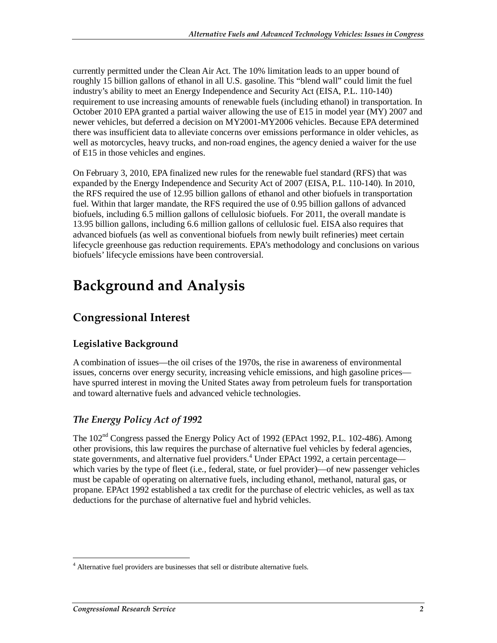currently permitted under the Clean Air Act. The 10% limitation leads to an upper bound of roughly 15 billion gallons of ethanol in all U.S. gasoline. This "blend wall" could limit the fuel industry's ability to meet an Energy Independence and Security Act (EISA, P.L. 110-140) requirement to use increasing amounts of renewable fuels (including ethanol) in transportation. In October 2010 EPA granted a partial waiver allowing the use of E15 in model year (MY) 2007 and newer vehicles, but deferred a decision on MY2001-MY2006 vehicles. Because EPA determined there was insufficient data to alleviate concerns over emissions performance in older vehicles, as well as motorcycles, heavy trucks, and non-road engines, the agency denied a waiver for the use of E15 in those vehicles and engines.

On February 3, 2010, EPA finalized new rules for the renewable fuel standard (RFS) that was expanded by the Energy Independence and Security Act of 2007 (EISA, P.L. 110-140). In 2010, the RFS required the use of 12.95 billion gallons of ethanol and other biofuels in transportation fuel. Within that larger mandate, the RFS required the use of 0.95 billion gallons of advanced biofuels, including 6.5 million gallons of cellulosic biofuels. For 2011, the overall mandate is 13.95 billion gallons, including 6.6 million gallons of cellulosic fuel. EISA also requires that advanced biofuels (as well as conventional biofuels from newly built refineries) meet certain lifecycle greenhouse gas reduction requirements. EPA's methodology and conclusions on various biofuels' lifecycle emissions have been controversial.

## **Background and Analysis**

## **Congressional Interest**

#### **Legislative Background**

A combination of issues—the oil crises of the 1970s, the rise in awareness of environmental issues, concerns over energy security, increasing vehicle emissions, and high gasoline prices have spurred interest in moving the United States away from petroleum fuels for transportation and toward alternative fuels and advanced vehicle technologies.

#### *The Energy Policy Act of 1992*

The  $102<sup>nd</sup>$  Congress passed the Energy Policy Act of 1992 (EPAct 1992, P.L. 102-486). Among other provisions, this law requires the purchase of alternative fuel vehicles by federal agencies, state governments, and alternative fuel providers.<sup>4</sup> Under EPAct 1992, a certain percentage which varies by the type of fleet (i.e., federal, state, or fuel provider)—of new passenger vehicles must be capable of operating on alternative fuels, including ethanol, methanol, natural gas, or propane. EPAct 1992 established a tax credit for the purchase of electric vehicles, as well as tax deductions for the purchase of alternative fuel and hybrid vehicles.

 4 Alternative fuel providers are businesses that sell or distribute alternative fuels.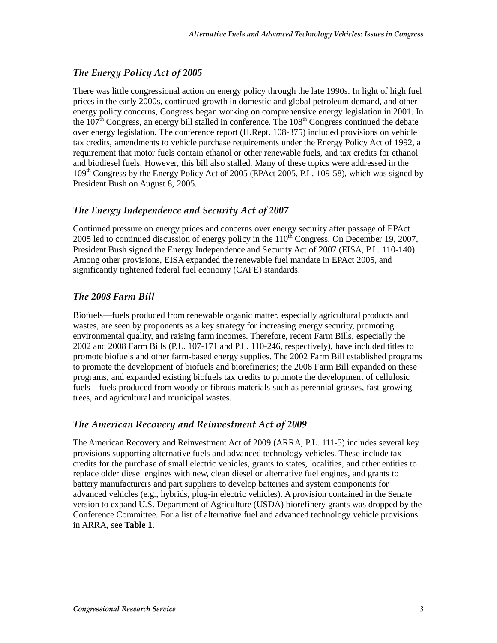#### *The Energy Policy Act of 2005*

There was little congressional action on energy policy through the late 1990s. In light of high fuel prices in the early 2000s, continued growth in domestic and global petroleum demand, and other energy policy concerns, Congress began working on comprehensive energy legislation in 2001. In the  $107<sup>th</sup>$  Congress, an energy bill stalled in conference. The  $108<sup>th</sup>$  Congress continued the debate over energy legislation. The conference report (H.Rept. 108-375) included provisions on vehicle tax credits, amendments to vehicle purchase requirements under the Energy Policy Act of 1992, a requirement that motor fuels contain ethanol or other renewable fuels, and tax credits for ethanol and biodiesel fuels. However, this bill also stalled. Many of these topics were addressed in the 109<sup>th</sup> Congress by the Energy Policy Act of 2005 (EPAct 2005, P.L. 109-58), which was signed by President Bush on August 8, 2005.

#### *The Energy Independence and Security Act of 2007*

Continued pressure on energy prices and concerns over energy security after passage of EPAct 2005 led to continued discussion of energy policy in the  $110^{th}$  Congress. On December 19, 2007, President Bush signed the Energy Independence and Security Act of 2007 (EISA, P.L. 110-140). Among other provisions, EISA expanded the renewable fuel mandate in EPAct 2005, and significantly tightened federal fuel economy (CAFE) standards.

#### *The 2008 Farm Bill*

Biofuels—fuels produced from renewable organic matter, especially agricultural products and wastes, are seen by proponents as a key strategy for increasing energy security, promoting environmental quality, and raising farm incomes. Therefore, recent Farm Bills, especially the 2002 and 2008 Farm Bills (P.L. 107-171 and P.L. 110-246, respectively), have included titles to promote biofuels and other farm-based energy supplies. The 2002 Farm Bill established programs to promote the development of biofuels and biorefineries; the 2008 Farm Bill expanded on these programs, and expanded existing biofuels tax credits to promote the development of cellulosic fuels—fuels produced from woody or fibrous materials such as perennial grasses, fast-growing trees, and agricultural and municipal wastes.

#### *The American Recovery and Reinvestment Act of 2009*

The American Recovery and Reinvestment Act of 2009 (ARRA, P.L. 111-5) includes several key provisions supporting alternative fuels and advanced technology vehicles. These include tax credits for the purchase of small electric vehicles, grants to states, localities, and other entities to replace older diesel engines with new, clean diesel or alternative fuel engines, and grants to battery manufacturers and part suppliers to develop batteries and system components for advanced vehicles (e.g., hybrids, plug-in electric vehicles). A provision contained in the Senate version to expand U.S. Department of Agriculture (USDA) biorefinery grants was dropped by the Conference Committee. For a list of alternative fuel and advanced technology vehicle provisions in ARRA, see **Table 1**.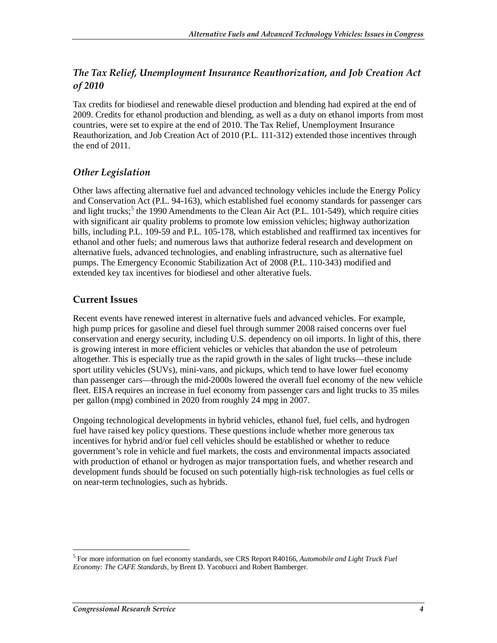#### *The Tax Relief, Unemployment Insurance Reauthorization, and Job Creation Act of 2010*

Tax credits for biodiesel and renewable diesel production and blending had expired at the end of 2009. Credits for ethanol production and blending, as well as a duty on ethanol imports from most countries, were set to expire at the end of 2010. The Tax Relief, Unemployment Insurance Reauthorization, and Job Creation Act of 2010 (P.L. 111-312) extended those incentives through the end of 2011.

#### *Other Legislation*

Other laws affecting alternative fuel and advanced technology vehicles include the Energy Policy and Conservation Act (P.L. 94-163), which established fuel economy standards for passenger cars and light trucks;<sup>5</sup> the 1990 Amendments to the Clean Air Act (P.L. 101-549), which require cities with significant air quality problems to promote low emission vehicles; highway authorization bills, including P.L. 109-59 and P.L. 105-178, which established and reaffirmed tax incentives for ethanol and other fuels; and numerous laws that authorize federal research and development on alternative fuels, advanced technologies, and enabling infrastructure, such as alternative fuel pumps. The Emergency Economic Stabilization Act of 2008 (P.L. 110-343) modified and extended key tax incentives for biodiesel and other alterative fuels.

#### **Current Issues**

Recent events have renewed interest in alternative fuels and advanced vehicles. For example, high pump prices for gasoline and diesel fuel through summer 2008 raised concerns over fuel conservation and energy security, including U.S. dependency on oil imports. In light of this, there is growing interest in more efficient vehicles or vehicles that abandon the use of petroleum altogether. This is especially true as the rapid growth in the sales of light trucks—these include sport utility vehicles (SUVs), mini-vans, and pickups, which tend to have lower fuel economy than passenger cars—through the mid-2000s lowered the overall fuel economy of the new vehicle fleet. EISA requires an increase in fuel economy from passenger cars and light trucks to 35 miles per gallon (mpg) combined in 2020 from roughly 24 mpg in 2007.

Ongoing technological developments in hybrid vehicles, ethanol fuel, fuel cells, and hydrogen fuel have raised key policy questions. These questions include whether more generous tax incentives for hybrid and/or fuel cell vehicles should be established or whether to reduce government's role in vehicle and fuel markets, the costs and environmental impacts associated with production of ethanol or hydrogen as major transportation fuels, and whether research and development funds should be focused on such potentially high-risk technologies as fuel cells or on near-term technologies, such as hybrids.

-

<sup>5</sup> For more information on fuel economy standards, see CRS Report R40166, *Automobile and Light Truck Fuel Economy: The CAFE Standards*, by Brent D. Yacobucci and Robert Bamberger.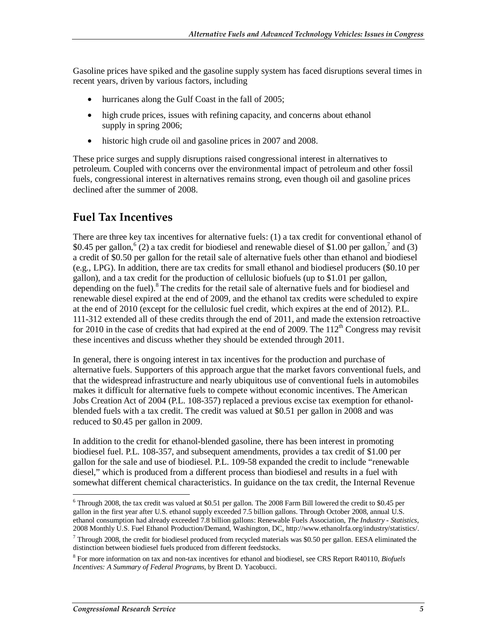Gasoline prices have spiked and the gasoline supply system has faced disruptions several times in recent years, driven by various factors, including

- hurricanes along the Gulf Coast in the fall of 2005;
- high crude prices, issues with refining capacity, and concerns about ethanol supply in spring 2006;
- historic high crude oil and gasoline prices in 2007 and 2008.

These price surges and supply disruptions raised congressional interest in alternatives to petroleum. Coupled with concerns over the environmental impact of petroleum and other fossil fuels, congressional interest in alternatives remains strong, even though oil and gasoline prices declined after the summer of 2008.

### **Fuel Tax Incentives**

There are three key tax incentives for alternative fuels: (1) a tax credit for conventional ethanol of \$0.45 per gallon,  $^{6}$  (2) a tax credit for biodiesel and renewable diesel of \$1.00 per gallon,<sup>7</sup> and (3) a credit of \$0.50 per gallon for the retail sale of alternative fuels other than ethanol and biodiesel (e.g., LPG). In addition, there are tax credits for small ethanol and biodiesel producers (\$0.10 per gallon), and a tax credit for the production of cellulosic biofuels (up to \$1.01 per gallon, depending on the fuel).<sup>8</sup> The credits for the retail sale of alternative fuels and for biodiesel and renewable diesel expired at the end of 2009, and the ethanol tax credits were scheduled to expire at the end of 2010 (except for the cellulosic fuel credit, which expires at the end of 2012). P.L. 111-312 extended all of these credits through the end of 2011, and made the extension retroactive for 2010 in the case of credits that had expired at the end of 2009. The  $112<sup>th</sup>$  Congress may revisit these incentives and discuss whether they should be extended through 2011.

In general, there is ongoing interest in tax incentives for the production and purchase of alternative fuels. Supporters of this approach argue that the market favors conventional fuels, and that the widespread infrastructure and nearly ubiquitous use of conventional fuels in automobiles makes it difficult for alternative fuels to compete without economic incentives. The American Jobs Creation Act of 2004 (P.L. 108-357) replaced a previous excise tax exemption for ethanolblended fuels with a tax credit. The credit was valued at \$0.51 per gallon in 2008 and was reduced to \$0.45 per gallon in 2009.

In addition to the credit for ethanol-blended gasoline, there has been interest in promoting biodiesel fuel. P.L. 108-357, and subsequent amendments, provides a tax credit of \$1.00 per gallon for the sale and use of biodiesel. P.L. 109-58 expanded the credit to include "renewable diesel," which is produced from a different process than biodiesel and results in a fuel with somewhat different chemical characteristics. In guidance on the tax credit, the Internal Revenue

<sup>&</sup>lt;u>.</u> <sup>6</sup> Through 2008, the tax credit was valued at \$0.51 per gallon. The 2008 Farm Bill lowered the credit to \$0.45 per gallon in the first year after U.S. ethanol supply exceeded 7.5 billion gallons. Through October 2008, annual U.S. ethanol consumption had already exceeded 7.8 billion gallons: Renewable Fuels Association, *The Industry - Statistics*, 2008 Monthly U.S. Fuel Ethanol Production/Demand, Washington, DC, http://www.ethanolrfa.org/industry/statistics/.

 $7$  Through 2008, the credit for biodiesel produced from recycled materials was \$0.50 per gallon. EESA eliminated the distinction between biodiesel fuels produced from different feedstocks.

<sup>8</sup> For more information on tax and non-tax incentives for ethanol and biodiesel, see CRS Report R40110, *Biofuels Incentives: A Summary of Federal Programs*, by Brent D. Yacobucci.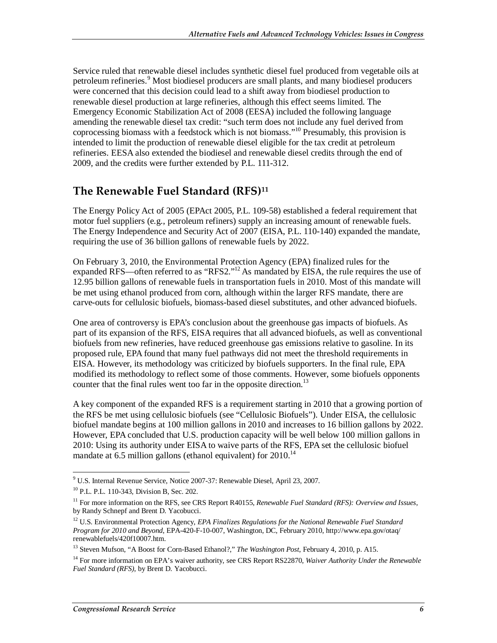Service ruled that renewable diesel includes synthetic diesel fuel produced from vegetable oils at petroleum refineries.<sup>9</sup> Most biodiesel producers are small plants, and many biodiesel producers were concerned that this decision could lead to a shift away from biodiesel production to renewable diesel production at large refineries, although this effect seems limited. The Emergency Economic Stabilization Act of 2008 (EESA) included the following language amending the renewable diesel tax credit: "such term does not include any fuel derived from coprocessing biomass with a feedstock which is not biomass."10 Presumably, this provision is intended to limit the production of renewable diesel eligible for the tax credit at petroleum refineries. EESA also extended the biodiesel and renewable diesel credits through the end of 2009, and the credits were further extended by P.L. 111-312.

### **The Renewable Fuel Standard (RFS)11**

The Energy Policy Act of 2005 (EPAct 2005, P.L. 109-58) established a federal requirement that motor fuel suppliers (e.g., petroleum refiners) supply an increasing amount of renewable fuels. The Energy Independence and Security Act of 2007 (EISA, P.L. 110-140) expanded the mandate, requiring the use of 36 billion gallons of renewable fuels by 2022.

On February 3, 2010, the Environmental Protection Agency (EPA) finalized rules for the expanded RFS—often referred to as "RFS2."<sup>12</sup> As mandated by EISA, the rule requires the use of 12.95 billion gallons of renewable fuels in transportation fuels in 2010. Most of this mandate will be met using ethanol produced from corn, although within the larger RFS mandate, there are carve-outs for cellulosic biofuels, biomass-based diesel substitutes, and other advanced biofuels.

One area of controversy is EPA's conclusion about the greenhouse gas impacts of biofuels. As part of its expansion of the RFS, EISA requires that all advanced biofuels, as well as conventional biofuels from new refineries, have reduced greenhouse gas emissions relative to gasoline. In its proposed rule, EPA found that many fuel pathways did not meet the threshold requirements in EISA. However, its methodology was criticized by biofuels supporters. In the final rule, EPA modified its methodology to reflect some of those comments. However, some biofuels opponents counter that the final rules went too far in the opposite direction.<sup>13</sup>

A key component of the expanded RFS is a requirement starting in 2010 that a growing portion of the RFS be met using cellulosic biofuels (see "Cellulosic Biofuels"). Under EISA, the cellulosic biofuel mandate begins at 100 million gallons in 2010 and increases to 16 billion gallons by 2022. However, EPA concluded that U.S. production capacity will be well below 100 million gallons in 2010: Using its authority under EISA to waive parts of the RFS, EPA set the cellulosic biofuel mandate at 6.5 million gallons (ethanol equivalent) for 2010.<sup>14</sup>

 9 U.S. Internal Revenue Service, Notice 2007-37: Renewable Diesel, April 23, 2007.

<sup>10</sup> P.L. P.L. 110-343, Division B, Sec. 202.

<sup>&</sup>lt;sup>11</sup> For more information on the RFS, see CRS Report R40155, *Renewable Fuel Standard (RFS): Overview and Issues*, by Randy Schnepf and Brent D. Yacobucci.

<sup>12</sup> U.S. Environmental Protection Agency, *EPA Finalizes Regulations for the National Renewable Fuel Standard Program for 2010 and Beyond*, EPA-420-F-10-007, Washington, DC, February 2010, http://www.epa.gov/otaq/ renewablefuels/420f10007.htm.

<sup>13</sup> Steven Mufson, "A Boost for Corn-Based Ethanol?," *The Washington Post*, February 4, 2010, p. A15.

<sup>14</sup> For more information on EPA's waiver authority, see CRS Report RS22870, *Waiver Authority Under the Renewable Fuel Standard (RFS)*, by Brent D. Yacobucci.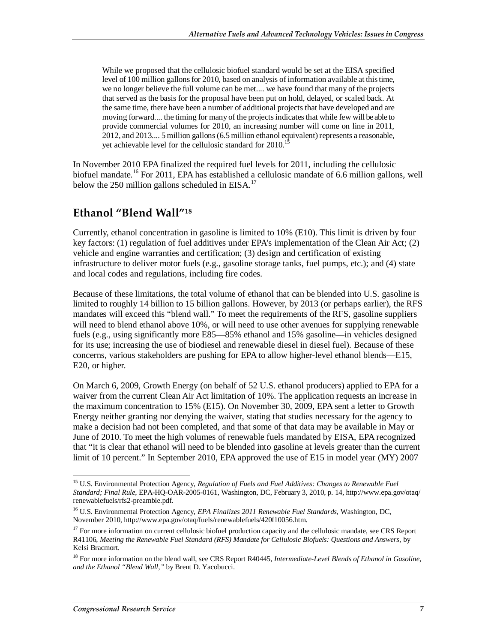While we proposed that the cellulosic biofuel standard would be set at the EISA specified level of 100 million gallons for 2010, based on analysis of information available at this time, we no longer believe the full volume can be met.... we have found that many of the projects that served as the basis for the proposal have been put on hold, delayed, or scaled back. At the same time, there have been a number of additional projects that have developed and are moving forward.... the timing for many of the projects indicates that while few will be able to provide commercial volumes for 2010, an increasing number will come on line in 2011, 2012, and 2013.... 5 million gallons (6.5 million ethanol equivalent) represents a reasonable, yet achievable level for the cellulosic standard for 2010.<sup>1</sup>

In November 2010 EPA finalized the required fuel levels for 2011, including the cellulosic biofuel mandate.<sup>16</sup> For 2011, EPA has established a cellulosic mandate of 6.6 million gallons, well below the 250 million gallons scheduled in EISA.<sup>17</sup>

### **Ethanol "Blend Wall"18**

Currently, ethanol concentration in gasoline is limited to 10% (E10). This limit is driven by four key factors: (1) regulation of fuel additives under EPA's implementation of the Clean Air Act; (2) vehicle and engine warranties and certification; (3) design and certification of existing infrastructure to deliver motor fuels (e.g., gasoline storage tanks, fuel pumps, etc.); and (4) state and local codes and regulations, including fire codes.

Because of these limitations, the total volume of ethanol that can be blended into U.S. gasoline is limited to roughly 14 billion to 15 billion gallons. However, by 2013 (or perhaps earlier), the RFS mandates will exceed this "blend wall." To meet the requirements of the RFS, gasoline suppliers will need to blend ethanol above 10%, or will need to use other avenues for supplying renewable fuels (e.g., using significantly more E85—85% ethanol and 15% gasoline—in vehicles designed for its use; increasing the use of biodiesel and renewable diesel in diesel fuel). Because of these concerns, various stakeholders are pushing for EPA to allow higher-level ethanol blends—E15, E20, or higher.

On March 6, 2009, Growth Energy (on behalf of 52 U.S. ethanol producers) applied to EPA for a waiver from the current Clean Air Act limitation of 10%. The application requests an increase in the maximum concentration to 15% (E15). On November 30, 2009, EPA sent a letter to Growth Energy neither granting nor denying the waiver, stating that studies necessary for the agency to make a decision had not been completed, and that some of that data may be available in May or June of 2010. To meet the high volumes of renewable fuels mandated by EISA, EPA recognized that "it is clear that ethanol will need to be blended into gasoline at levels greater than the current limit of 10 percent." In September 2010, EPA approved the use of E15 in model year (MY) 2007

<sup>-</sup><sup>15</sup> U.S. Environmental Protection Agency, *Regulation of Fuels and Fuel Additives: Changes to Renewable Fuel Standard; Final Rule*, EPA-HQ-OAR-2005-0161, Washington, DC, February 3, 2010, p. 14, http://www.epa.gov/otaq/ renewablefuels/rfs2-preamble.pdf.

<sup>16</sup> U.S. Environmental Protection Agency, *EPA Finalizes 2011 Renewable Fuel Standards*, Washington, DC, November 2010, http://www.epa.gov/otaq/fuels/renewablefuels/420f10056.htm.

<sup>&</sup>lt;sup>17</sup> For more information on current cellulosic biofuel production capacity and the cellulosic mandate, see CRS Report R41106, *Meeting the Renewable Fuel Standard (RFS) Mandate for Cellulosic Biofuels: Questions and Answers*, by Kelsi Bracmort.

<sup>&</sup>lt;sup>18</sup> For more information on the blend wall, see CRS Report R40445, *Intermediate-Level Blends of Ethanol in Gasoline*, *and the Ethanol "Blend Wall,"* by Brent D. Yacobucci.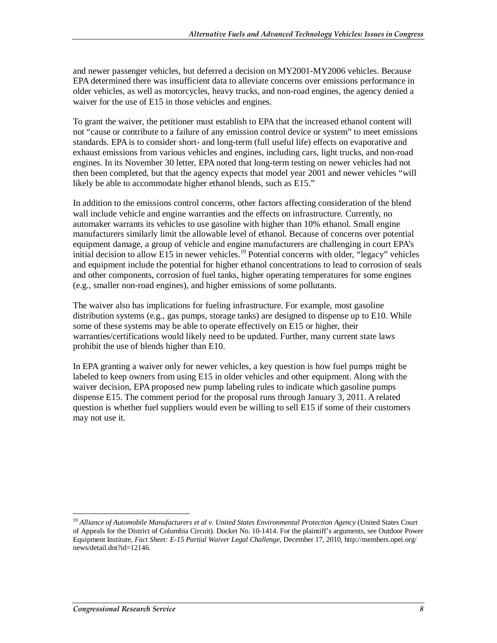and newer passenger vehicles, but deferred a decision on MY2001-MY2006 vehicles. Because EPA determined there was insufficient data to alleviate concerns over emissions performance in older vehicles, as well as motorcycles, heavy trucks, and non-road engines, the agency denied a waiver for the use of E15 in those vehicles and engines.

To grant the waiver, the petitioner must establish to EPA that the increased ethanol content will not "cause or contribute to a failure of any emission control device or system" to meet emissions standards. EPA is to consider short- and long-term (full useful life) effects on evaporative and exhaust emissions from various vehicles and engines, including cars, light trucks, and non-road engines. In its November 30 letter, EPA noted that long-term testing on newer vehicles had not then been completed, but that the agency expects that model year 2001 and newer vehicles "will likely be able to accommodate higher ethanol blends, such as E15."

In addition to the emissions control concerns, other factors affecting consideration of the blend wall include vehicle and engine warranties and the effects on infrastructure. Currently, no automaker warrants its vehicles to use gasoline with higher than 10% ethanol. Small engine manufacturers similarly limit the allowable level of ethanol. Because of concerns over potential equipment damage, a group of vehicle and engine manufacturers are challenging in court EPA's initial decision to allow E15 in newer vehicles.<sup>19</sup> Potential concerns with older, "legacy" vehicles and equipment include the potential for higher ethanol concentrations to lead to corrosion of seals and other components, corrosion of fuel tanks, higher operating temperatures for some engines (e.g., smaller non-road engines), and higher emissions of some pollutants.

The waiver also has implications for fueling infrastructure. For example, most gasoline distribution systems (e.g., gas pumps, storage tanks) are designed to dispense up to E10. While some of these systems may be able to operate effectively on E15 or higher, their warranties/certifications would likely need to be updated. Further, many current state laws prohibit the use of blends higher than E10.

In EPA granting a waiver only for newer vehicles, a key question is how fuel pumps might be labeled to keep owners from using E15 in older vehicles and other equipment. Along with the waiver decision, EPA proposed new pump labeling rules to indicate which gasoline pumps dispense E15. The comment period for the proposal runs through January 3, 2011. A related question is whether fuel suppliers would even be willing to sell E15 if some of their customers may not use it.

-

<sup>&</sup>lt;sup>19</sup> Alliance of Automobile Manufacturers et al v. United States Environmental Protection Agency (United States Court of Appeals for the District of Columbia Circuit). Docket No. 10-1414. For the plaintiff's arguments, see Outdoor Power Equipment Institute, *Fact Sheet: E-15 Partial Waiver Legal Challenge*, December 17, 2010, http://members.opei.org/ news/detail.dot?id=12146.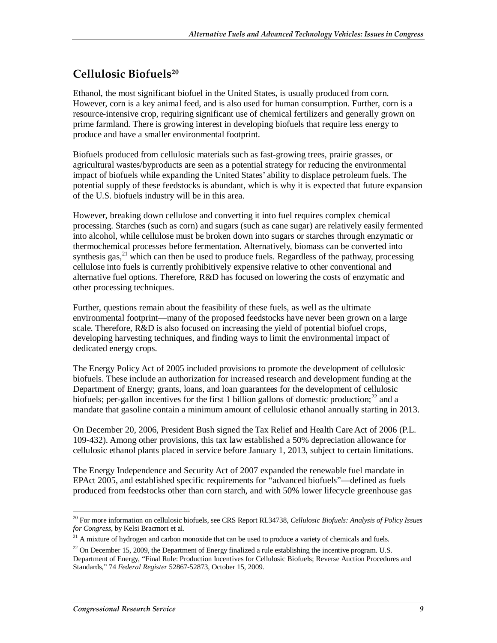## **Cellulosic Biofuels20**

Ethanol, the most significant biofuel in the United States, is usually produced from corn. However, corn is a key animal feed, and is also used for human consumption. Further, corn is a resource-intensive crop, requiring significant use of chemical fertilizers and generally grown on prime farmland. There is growing interest in developing biofuels that require less energy to produce and have a smaller environmental footprint.

Biofuels produced from cellulosic materials such as fast-growing trees, prairie grasses, or agricultural wastes/byproducts are seen as a potential strategy for reducing the environmental impact of biofuels while expanding the United States' ability to displace petroleum fuels. The potential supply of these feedstocks is abundant, which is why it is expected that future expansion of the U.S. biofuels industry will be in this area.

However, breaking down cellulose and converting it into fuel requires complex chemical processing. Starches (such as corn) and sugars (such as cane sugar) are relatively easily fermented into alcohol, while cellulose must be broken down into sugars or starches through enzymatic or thermochemical processes before fermentation. Alternatively, biomass can be converted into synthesis gas,  $^{21}$  which can then be used to produce fuels. Regardless of the pathway, processing cellulose into fuels is currently prohibitively expensive relative to other conventional and alternative fuel options. Therefore, R&D has focused on lowering the costs of enzymatic and other processing techniques.

Further, questions remain about the feasibility of these fuels, as well as the ultimate environmental footprint—many of the proposed feedstocks have never been grown on a large scale. Therefore, R&D is also focused on increasing the yield of potential biofuel crops, developing harvesting techniques, and finding ways to limit the environmental impact of dedicated energy crops.

The Energy Policy Act of 2005 included provisions to promote the development of cellulosic biofuels. These include an authorization for increased research and development funding at the Department of Energy; grants, loans, and loan guarantees for the development of cellulosic biofuels; per-gallon incentives for the first 1 billion gallons of domestic production;<sup>22</sup> and a mandate that gasoline contain a minimum amount of cellulosic ethanol annually starting in 2013.

On December 20, 2006, President Bush signed the Tax Relief and Health Care Act of 2006 (P.L. 109-432). Among other provisions, this tax law established a 50% depreciation allowance for cellulosic ethanol plants placed in service before January 1, 2013, subject to certain limitations.

The Energy Independence and Security Act of 2007 expanded the renewable fuel mandate in EPAct 2005, and established specific requirements for "advanced biofuels"—defined as fuels produced from feedstocks other than corn starch, and with 50% lower lifecycle greenhouse gas

<sup>-</sup>20 For more information on cellulosic biofuels, see CRS Report RL34738, *Cellulosic Biofuels: Analysis of Policy Issues for Congress*, by Kelsi Bracmort et al.

 $21$  A mixture of hydrogen and carbon monoxide that can be used to produce a variety of chemicals and fuels.

 $22$  On December 15, 2009, the Department of Energy finalized a rule establishing the incentive program. U.S. Department of Energy, "Final Rule: Production Incentives for Cellulosic Biofuels; Reverse Auction Procedures and Standards," 74 *Federal Register* 52867-52873, October 15, 2009.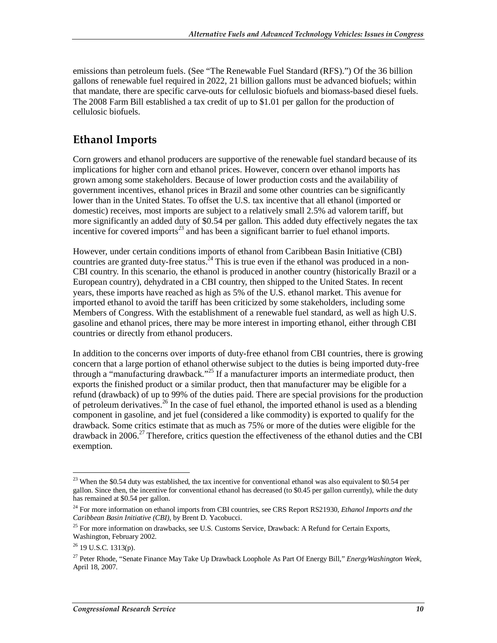emissions than petroleum fuels. (See "The Renewable Fuel Standard (RFS).") Of the 36 billion gallons of renewable fuel required in 2022, 21 billion gallons must be advanced biofuels; within that mandate, there are specific carve-outs for cellulosic biofuels and biomass-based diesel fuels. The 2008 Farm Bill established a tax credit of up to \$1.01 per gallon for the production of cellulosic biofuels.

## **Ethanol Imports**

Corn growers and ethanol producers are supportive of the renewable fuel standard because of its implications for higher corn and ethanol prices. However, concern over ethanol imports has grown among some stakeholders. Because of lower production costs and the availability of government incentives, ethanol prices in Brazil and some other countries can be significantly lower than in the United States. To offset the U.S. tax incentive that all ethanol (imported or domestic) receives, most imports are subject to a relatively small 2.5% ad valorem tariff, but more significantly an added duty of \$0.54 per gallon. This added duty effectively negates the tax incentive for covered imports<sup>23</sup> and has been a significant barrier to fuel ethanol imports.

However, under certain conditions imports of ethanol from Caribbean Basin Initiative (CBI) countries are granted duty-free status. $^{24}$  This is true even if the ethanol was produced in a non-CBI country. In this scenario, the ethanol is produced in another country (historically Brazil or a European country), dehydrated in a CBI country, then shipped to the United States. In recent years, these imports have reached as high as 5% of the U.S. ethanol market. This avenue for imported ethanol to avoid the tariff has been criticized by some stakeholders, including some Members of Congress. With the establishment of a renewable fuel standard, as well as high U.S. gasoline and ethanol prices, there may be more interest in importing ethanol, either through CBI countries or directly from ethanol producers.

In addition to the concerns over imports of duty-free ethanol from CBI countries, there is growing concern that a large portion of ethanol otherwise subject to the duties is being imported duty-free through a "manufacturing drawback."25 If a manufacturer imports an intermediate product, then exports the finished product or a similar product, then that manufacturer may be eligible for a refund (drawback) of up to 99% of the duties paid. There are special provisions for the production of petroleum derivatives.<sup>26</sup> In the case of fuel ethanol, the imported ethanol is used as a blending component in gasoline, and jet fuel (considered a like commodity) is exported to qualify for the drawback. Some critics estimate that as much as 75% or more of the duties were eligible for the drawback in 2006.<sup>27</sup> Therefore, critics question the effectiveness of the ethanol duties and the CBI exemption.

<sup>&</sup>lt;u>.</u>  $23$  When the \$0.54 duty was established, the tax incentive for conventional ethanol was also equivalent to \$0.54 per gallon. Since then, the incentive for conventional ethanol has decreased (to \$0.45 per gallon currently), while the duty has remained at \$0.54 per gallon.

<sup>24</sup> For more information on ethanol imports from CBI countries, see CRS Report RS21930, *Ethanol Imports and the Caribbean Basin Initiative (CBI)*, by Brent D. Yacobucci.

<sup>&</sup>lt;sup>25</sup> For more information on drawbacks, see U.S. Customs Service, Drawback: A Refund for Certain Exports, Washington, February 2002.

 $26$  19 U.S.C. 1313(p).

<sup>27</sup> Peter Rhode, "Senate Finance May Take Up Drawback Loophole As Part Of Energy Bill," *EnergyWashington Week*, April 18, 2007.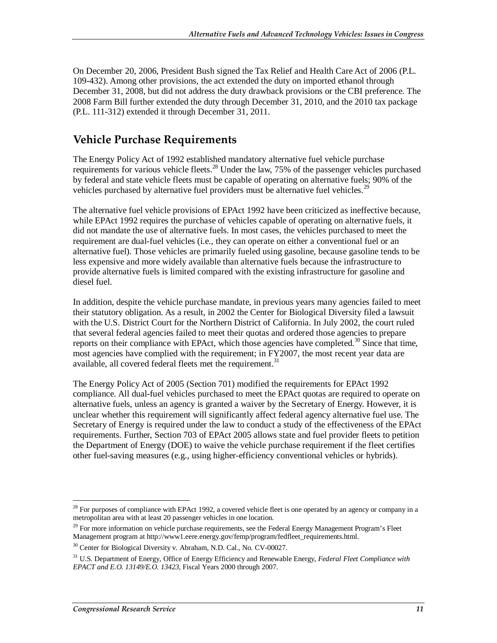On December 20, 2006, President Bush signed the Tax Relief and Health Care Act of 2006 (P.L. 109-432). Among other provisions, the act extended the duty on imported ethanol through December 31, 2008, but did not address the duty drawback provisions or the CBI preference. The 2008 Farm Bill further extended the duty through December 31, 2010, and the 2010 tax package (P.L. 111-312) extended it through December 31, 2011.

### **Vehicle Purchase Requirements**

The Energy Policy Act of 1992 established mandatory alternative fuel vehicle purchase requirements for various vehicle fleets.<sup>28</sup> Under the law, 75% of the passenger vehicles purchased by federal and state vehicle fleets must be capable of operating on alternative fuels; 90% of the vehicles purchased by alternative fuel providers must be alternative fuel vehicles.<sup>29</sup>

The alternative fuel vehicle provisions of EPAct 1992 have been criticized as ineffective because, while EPAct 1992 requires the purchase of vehicles capable of operating on alternative fuels, it did not mandate the use of alternative fuels. In most cases, the vehicles purchased to meet the requirement are dual-fuel vehicles (i.e., they can operate on either a conventional fuel or an alternative fuel). Those vehicles are primarily fueled using gasoline, because gasoline tends to be less expensive and more widely available than alternative fuels because the infrastructure to provide alternative fuels is limited compared with the existing infrastructure for gasoline and diesel fuel.

In addition, despite the vehicle purchase mandate, in previous years many agencies failed to meet their statutory obligation. As a result, in 2002 the Center for Biological Diversity filed a lawsuit with the U.S. District Court for the Northern District of California. In July 2002, the court ruled that several federal agencies failed to meet their quotas and ordered those agencies to prepare reports on their compliance with EPAct, which those agencies have completed.<sup>30</sup> Since that time, most agencies have complied with the requirement; in FY2007, the most recent year data are available, all covered federal fleets met the requirement.<sup>31</sup>

The Energy Policy Act of 2005 (Section 701) modified the requirements for EPAct 1992 compliance. All dual-fuel vehicles purchased to meet the EPAct quotas are required to operate on alternative fuels, unless an agency is granted a waiver by the Secretary of Energy. However, it is unclear whether this requirement will significantly affect federal agency alternative fuel use. The Secretary of Energy is required under the law to conduct a study of the effectiveness of the EPAct requirements. Further, Section 703 of EPAct 2005 allows state and fuel provider fleets to petition the Department of Energy (DOE) to waive the vehicle purchase requirement if the fleet certifies other fuel-saving measures (e.g., using higher-efficiency conventional vehicles or hybrids).

<u>.</u>

 $28$  For purposes of compliance with EPAct 1992, a covered vehicle fleet is one operated by an agency or company in a metropolitan area with at least 20 passenger vehicles in one location.

<sup>&</sup>lt;sup>29</sup> For more information on vehicle purchase requirements, see the Federal Energy Management Program's Fleet Management program at http://www1.eere.energy.gov/femp/program/fedfleet\_requirements.html.

 $30$  Center for Biological Diversity v. Abraham, N.D. Cal., No. CV-00027.

<sup>31</sup> U.S. Department of Energy, Office of Energy Efficiency and Renewable Energy, *Federal Fleet Compliance with EPACT and E.O. 13149/E.O. 13423,* Fiscal Years 2000 through 2007.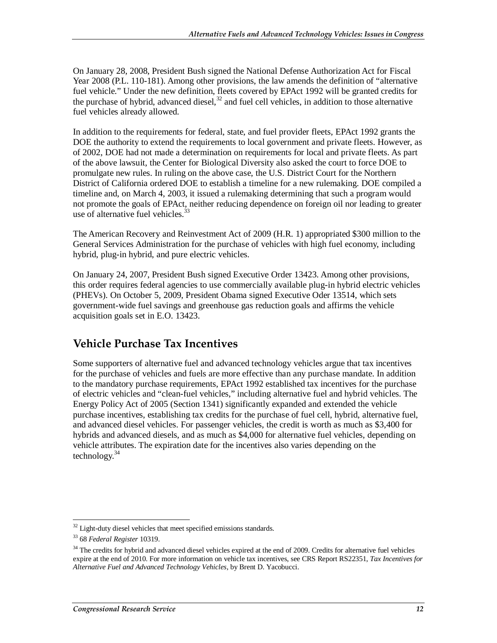On January 28, 2008, President Bush signed the National Defense Authorization Act for Fiscal Year 2008 (P.L. 110-181). Among other provisions, the law amends the definition of "alternative fuel vehicle." Under the new definition, fleets covered by EPAct 1992 will be granted credits for the purchase of hybrid, advanced diesel, $32$  and fuel cell vehicles, in addition to those alternative fuel vehicles already allowed.

In addition to the requirements for federal, state, and fuel provider fleets, EPAct 1992 grants the DOE the authority to extend the requirements to local government and private fleets. However, as of 2002, DOE had not made a determination on requirements for local and private fleets. As part of the above lawsuit, the Center for Biological Diversity also asked the court to force DOE to promulgate new rules. In ruling on the above case, the U.S. District Court for the Northern District of California ordered DOE to establish a timeline for a new rulemaking. DOE compiled a timeline and, on March 4, 2003, it issued a rulemaking determining that such a program would not promote the goals of EPAct, neither reducing dependence on foreign oil nor leading to greater use of alternative fuel vehicles.<sup>33</sup>

The American Recovery and Reinvestment Act of 2009 (H.R. 1) appropriated \$300 million to the General Services Administration for the purchase of vehicles with high fuel economy, including hybrid, plug-in hybrid, and pure electric vehicles.

On January 24, 2007, President Bush signed Executive Order 13423. Among other provisions, this order requires federal agencies to use commercially available plug-in hybrid electric vehicles (PHEVs). On October 5, 2009, President Obama signed Executive Oder 13514, which sets government-wide fuel savings and greenhouse gas reduction goals and affirms the vehicle acquisition goals set in E.O. 13423.

### **Vehicle Purchase Tax Incentives**

Some supporters of alternative fuel and advanced technology vehicles argue that tax incentives for the purchase of vehicles and fuels are more effective than any purchase mandate. In addition to the mandatory purchase requirements, EPAct 1992 established tax incentives for the purchase of electric vehicles and "clean-fuel vehicles," including alternative fuel and hybrid vehicles. The Energy Policy Act of 2005 (Section 1341) significantly expanded and extended the vehicle purchase incentives, establishing tax credits for the purchase of fuel cell, hybrid, alternative fuel, and advanced diesel vehicles. For passenger vehicles, the credit is worth as much as \$3,400 for hybrids and advanced diesels, and as much as \$4,000 for alternative fuel vehicles, depending on vehicle attributes. The expiration date for the incentives also varies depending on the technology. $34$ 

 $\overline{a}$  $32$  Light-duty diesel vehicles that meet specified emissions standards.

<sup>33 68</sup> *Federal Register* 10319.

<sup>&</sup>lt;sup>34</sup> The credits for hybrid and advanced diesel vehicles expired at the end of 2009. Credits for alternative fuel vehicles expire at the end of 2010. For more information on vehicle tax incentives, see CRS Report RS22351, *Tax Incentives for Alternative Fuel and Advanced Technology Vehicles*, by Brent D. Yacobucci.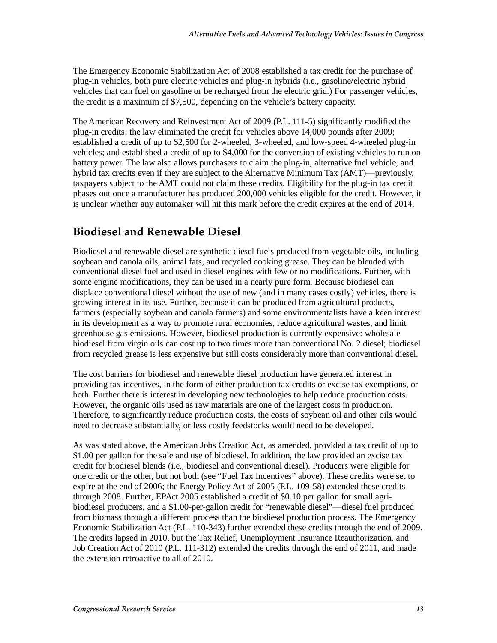The Emergency Economic Stabilization Act of 2008 established a tax credit for the purchase of plug-in vehicles, both pure electric vehicles and plug-in hybrids (i.e., gasoline/electric hybrid vehicles that can fuel on gasoline or be recharged from the electric grid.) For passenger vehicles, the credit is a maximum of \$7,500, depending on the vehicle's battery capacity.

The American Recovery and Reinvestment Act of 2009 (P.L. 111-5) significantly modified the plug-in credits: the law eliminated the credit for vehicles above 14,000 pounds after 2009; established a credit of up to \$2,500 for 2-wheeled, 3-wheeled, and low-speed 4-wheeled plug-in vehicles; and established a credit of up to \$4,000 for the conversion of existing vehicles to run on battery power. The law also allows purchasers to claim the plug-in, alternative fuel vehicle, and hybrid tax credits even if they are subject to the Alternative Minimum Tax (AMT)—previously, taxpayers subject to the AMT could not claim these credits. Eligibility for the plug-in tax credit phases out once a manufacturer has produced 200,000 vehicles eligible for the credit. However, it is unclear whether any automaker will hit this mark before the credit expires at the end of 2014.

## **Biodiesel and Renewable Diesel**

Biodiesel and renewable diesel are synthetic diesel fuels produced from vegetable oils, including soybean and canola oils, animal fats, and recycled cooking grease. They can be blended with conventional diesel fuel and used in diesel engines with few or no modifications. Further, with some engine modifications, they can be used in a nearly pure form. Because biodiesel can displace conventional diesel without the use of new (and in many cases costly) vehicles, there is growing interest in its use. Further, because it can be produced from agricultural products, farmers (especially soybean and canola farmers) and some environmentalists have a keen interest in its development as a way to promote rural economies, reduce agricultural wastes, and limit greenhouse gas emissions. However, biodiesel production is currently expensive: wholesale biodiesel from virgin oils can cost up to two times more than conventional No. 2 diesel; biodiesel from recycled grease is less expensive but still costs considerably more than conventional diesel.

The cost barriers for biodiesel and renewable diesel production have generated interest in providing tax incentives, in the form of either production tax credits or excise tax exemptions, or both. Further there is interest in developing new technologies to help reduce production costs. However, the organic oils used as raw materials are one of the largest costs in production. Therefore, to significantly reduce production costs, the costs of soybean oil and other oils would need to decrease substantially, or less costly feedstocks would need to be developed.

As was stated above, the American Jobs Creation Act, as amended, provided a tax credit of up to \$1.00 per gallon for the sale and use of biodiesel. In addition, the law provided an excise tax credit for biodiesel blends (i.e., biodiesel and conventional diesel). Producers were eligible for one credit or the other, but not both (see "Fuel Tax Incentives" above). These credits were set to expire at the end of 2006; the Energy Policy Act of 2005 (P.L. 109-58) extended these credits through 2008. Further, EPAct 2005 established a credit of \$0.10 per gallon for small agribiodiesel producers, and a \$1.00-per-gallon credit for "renewable diesel"—diesel fuel produced from biomass through a different process than the biodiesel production process. The Emergency Economic Stabilization Act (P.L. 110-343) further extended these credits through the end of 2009. The credits lapsed in 2010, but the Tax Relief, Unemployment Insurance Reauthorization, and Job Creation Act of 2010 (P.L. 111-312) extended the credits through the end of 2011, and made the extension retroactive to all of 2010.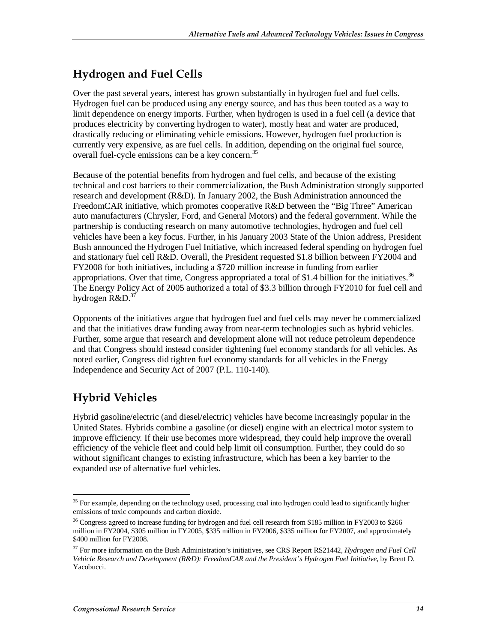## **Hydrogen and Fuel Cells**

Over the past several years, interest has grown substantially in hydrogen fuel and fuel cells. Hydrogen fuel can be produced using any energy source, and has thus been touted as a way to limit dependence on energy imports. Further, when hydrogen is used in a fuel cell (a device that produces electricity by converting hydrogen to water), mostly heat and water are produced, drastically reducing or eliminating vehicle emissions. However, hydrogen fuel production is currently very expensive, as are fuel cells. In addition, depending on the original fuel source, overall fuel-cycle emissions can be a key concern.<sup>35</sup>

Because of the potential benefits from hydrogen and fuel cells, and because of the existing technical and cost barriers to their commercialization, the Bush Administration strongly supported research and development (R&D). In January 2002, the Bush Administration announced the FreedomCAR initiative, which promotes cooperative R&D between the "Big Three" American auto manufacturers (Chrysler, Ford, and General Motors) and the federal government. While the partnership is conducting research on many automotive technologies, hydrogen and fuel cell vehicles have been a key focus. Further, in his January 2003 State of the Union address, President Bush announced the Hydrogen Fuel Initiative, which increased federal spending on hydrogen fuel and stationary fuel cell R&D. Overall, the President requested \$1.8 billion between FY2004 and FY2008 for both initiatives, including a \$720 million increase in funding from earlier appropriations. Over that time, Congress appropriated a total of \$1.4 billion for the initiatives.<sup>36</sup> The Energy Policy Act of 2005 authorized a total of \$3.3 billion through FY2010 for fuel cell and hydrogen  $R&D.<sup>37</sup>$ 

Opponents of the initiatives argue that hydrogen fuel and fuel cells may never be commercialized and that the initiatives draw funding away from near-term technologies such as hybrid vehicles. Further, some argue that research and development alone will not reduce petroleum dependence and that Congress should instead consider tightening fuel economy standards for all vehicles. As noted earlier, Congress did tighten fuel economy standards for all vehicles in the Energy Independence and Security Act of 2007 (P.L. 110-140).

## **Hybrid Vehicles**

Hybrid gasoline/electric (and diesel/electric) vehicles have become increasingly popular in the United States. Hybrids combine a gasoline (or diesel) engine with an electrical motor system to improve efficiency. If their use becomes more widespread, they could help improve the overall efficiency of the vehicle fleet and could help limit oil consumption. Further, they could do so without significant changes to existing infrastructure, which has been a key barrier to the expanded use of alternative fuel vehicles.

<sup>&</sup>lt;u>.</u> <sup>35</sup> For example, depending on the technology used, processing coal into hydrogen could lead to significantly higher emissions of toxic compounds and carbon dioxide.

<sup>&</sup>lt;sup>36</sup> Congress agreed to increase funding for hydrogen and fuel cell research from \$185 million in FY2003 to \$266 million in FY2004, \$305 million in FY2005, \$335 million in FY2006, \$335 million for FY2007, and approximately \$400 million for FY2008.

<sup>37</sup> For more information on the Bush Administration's initiatives, see CRS Report RS21442, *Hydrogen and Fuel Cell Vehicle Research and Development (R&D): FreedomCAR and the President's Hydrogen Fuel Initiative*, by Brent D. Yacobucci.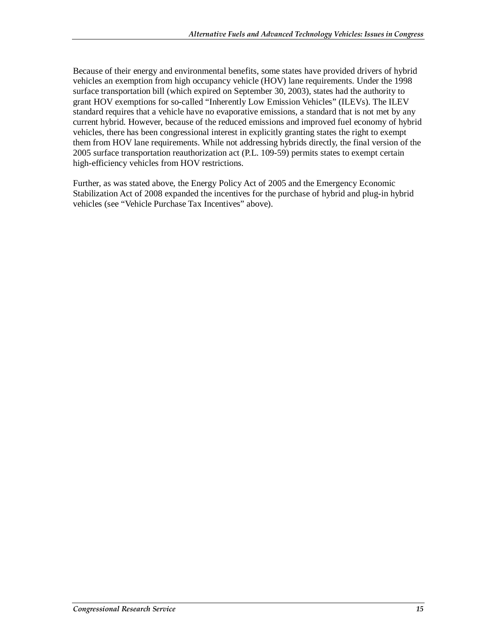Because of their energy and environmental benefits, some states have provided drivers of hybrid vehicles an exemption from high occupancy vehicle (HOV) lane requirements. Under the 1998 surface transportation bill (which expired on September 30, 2003), states had the authority to grant HOV exemptions for so-called "Inherently Low Emission Vehicles" (ILEVs). The ILEV standard requires that a vehicle have no evaporative emissions, a standard that is not met by any current hybrid. However, because of the reduced emissions and improved fuel economy of hybrid vehicles, there has been congressional interest in explicitly granting states the right to exempt them from HOV lane requirements. While not addressing hybrids directly, the final version of the 2005 surface transportation reauthorization act (P.L. 109-59) permits states to exempt certain high-efficiency vehicles from HOV restrictions.

Further, as was stated above, the Energy Policy Act of 2005 and the Emergency Economic Stabilization Act of 2008 expanded the incentives for the purchase of hybrid and plug-in hybrid vehicles (see "Vehicle Purchase Tax Incentives" above).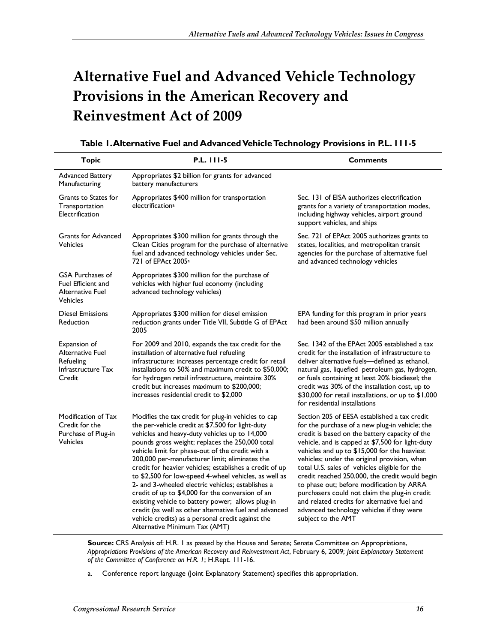## **Alternative Fuel and Advanced Vehicle Technology Provisions in the American Recovery and Reinvestment Act of 2009**

| <b>Topic</b>                                                                         | P.L. 111-5                                                                                                                                                                                                                                                                                                                                                                                                                                                                                                                                                                                                                                                                                                                                          | <b>Comments</b>                                                                                                                                                                                                                                                                                                                                                                                                                                                                                                                                                                                                          |  |
|--------------------------------------------------------------------------------------|-----------------------------------------------------------------------------------------------------------------------------------------------------------------------------------------------------------------------------------------------------------------------------------------------------------------------------------------------------------------------------------------------------------------------------------------------------------------------------------------------------------------------------------------------------------------------------------------------------------------------------------------------------------------------------------------------------------------------------------------------------|--------------------------------------------------------------------------------------------------------------------------------------------------------------------------------------------------------------------------------------------------------------------------------------------------------------------------------------------------------------------------------------------------------------------------------------------------------------------------------------------------------------------------------------------------------------------------------------------------------------------------|--|
| <b>Advanced Battery</b><br>Manufacturing                                             | Appropriates \$2 billion for grants for advanced<br>battery manufacturers                                                                                                                                                                                                                                                                                                                                                                                                                                                                                                                                                                                                                                                                           |                                                                                                                                                                                                                                                                                                                                                                                                                                                                                                                                                                                                                          |  |
| Grants to States for<br>Transportation<br>Electrification                            | Appropriates \$400 million for transportation<br>electrification <sup>a</sup>                                                                                                                                                                                                                                                                                                                                                                                                                                                                                                                                                                                                                                                                       | Sec. 131 of EISA authorizes electrification<br>grants for a variety of transportation modes,<br>including highway vehicles, airport ground<br>support vehicles, and ships                                                                                                                                                                                                                                                                                                                                                                                                                                                |  |
| <b>Grants for Advanced</b><br>Vehicles                                               | Appropriates \$300 million for grants through the<br>Clean Cities program for the purchase of alternative<br>fuel and advanced technology vehicles under Sec.<br>721 of EPAct 2005 <sup>a</sup>                                                                                                                                                                                                                                                                                                                                                                                                                                                                                                                                                     | Sec. 721 of EPAct 2005 authorizes grants to<br>states, localities, and metropolitan transit<br>agencies for the purchase of alternative fuel<br>and advanced technology vehicles                                                                                                                                                                                                                                                                                                                                                                                                                                         |  |
| <b>GSA Purchases of</b><br>Fuel Efficient and<br>Alternative Fuel<br><b>Vehicles</b> | Appropriates \$300 million for the purchase of<br>vehicles with higher fuel economy (including<br>advanced technology vehicles)                                                                                                                                                                                                                                                                                                                                                                                                                                                                                                                                                                                                                     |                                                                                                                                                                                                                                                                                                                                                                                                                                                                                                                                                                                                                          |  |
| <b>Diesel Emissions</b><br>Reduction                                                 | Appropriates \$300 million for diesel emission<br>reduction grants under Title VII, Subtitle G of EPAct<br>2005                                                                                                                                                                                                                                                                                                                                                                                                                                                                                                                                                                                                                                     | EPA funding for this program in prior years<br>had been around \$50 million annually                                                                                                                                                                                                                                                                                                                                                                                                                                                                                                                                     |  |
| Expansion of<br><b>Alternative Fuel</b><br>Refueling<br>Infrastructure Tax<br>Credit | For 2009 and 2010, expands the tax credit for the<br>installation of alternative fuel refueling<br>infrastructure: increases percentage credit for retail<br>installations to 50% and maximum credit to \$50,000;<br>for hydrogen retail infrastructure, maintains 30%<br>credit but increases maximum to \$200,000;<br>increases residential credit to \$2,000                                                                                                                                                                                                                                                                                                                                                                                     | Sec. 1342 of the EPAct 2005 established a tax<br>credit for the installation of infrastructure to<br>deliver alternative fuels-defined as ethanol,<br>natural gas, liquefied petroleum gas, hydrogen,<br>or fuels containing at least 20% biodiesel; the<br>credit was 30% of the installation cost, up to<br>\$30,000 for retail installations, or up to \$1,000<br>for residential installations                                                                                                                                                                                                                       |  |
| Modification of Tax<br>Credit for the<br>Purchase of Plug-in<br><b>Vehicles</b>      | Modifies the tax credit for plug-in vehicles to cap<br>the per-vehicle credit at \$7,500 for light-duty<br>vehicles and heavy-duty vehicles up to 14,000<br>pounds gross weight; replaces the 250,000 total<br>vehicle limit for phase-out of the credit with a<br>200,000 per-manufacturer limit; eliminates the<br>credit for heavier vehicles; establishes a credit of up<br>to \$2,500 for low-speed 4-wheel vehicles, as well as<br>2- and 3-wheeled electric vehicles; establishes a<br>credit of up to \$4,000 for the conversion of an<br>existing vehicle to battery power; allows plug-in<br>credit (as well as other alternative fuel and advanced<br>vehicle credits) as a personal credit against the<br>Alternative Minimum Tax (AMT) | Section 205 of EESA established a tax credit<br>for the purchase of a new plug-in vehicle; the<br>credit is based on the battery capacity of the<br>vehicle, and is capped at \$7,500 for light-duty<br>vehicles and up to \$15,000 for the heaviest<br>vehicles; under the original provision, when<br>total U.S. sales of vehicles eligible for the<br>credit reached 250,000, the credit would begin<br>to phase out; before modification by ARRA<br>purchasers could not claim the plug-in credit<br>and related credits for alternative fuel and<br>advanced technology vehicles if they were<br>subject to the AMT |  |

| Table 1. Alternative Fuel and Advanced Vehicle Technology Provisions in P.L. 111-5 |  |  |  |  |
|------------------------------------------------------------------------------------|--|--|--|--|
|------------------------------------------------------------------------------------|--|--|--|--|

**Source:** CRS Analysis of: H.R. 1 as passed by the House and Senate; Senate Committee on Appropriations, *Appropriations Provisions of the American Recovery and Reinvestment Act*, February 6, 2009; *Joint Explanatory Statement of the Committee of Conference on H.R. 1*; H.Rept. 111-16.

a. Conference report language (Joint Explanatory Statement) specifies this appropriation.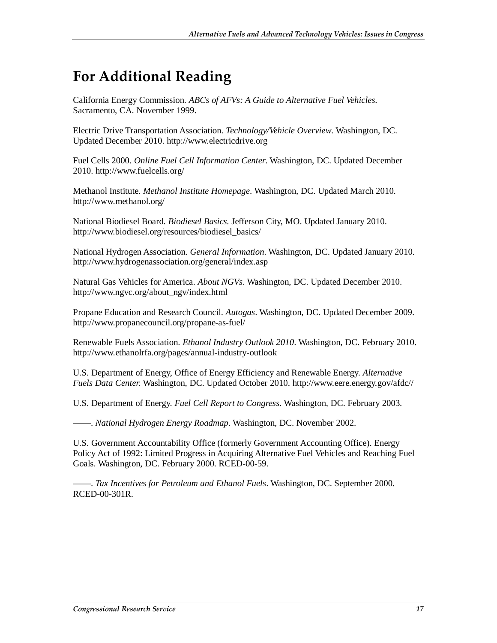## **For Additional Reading**

California Energy Commission. *ABCs of AFVs: A Guide to Alternative Fuel Vehicles.* Sacramento, CA. November 1999.

Electric Drive Transportation Association. *Technology/Vehicle Overview*. Washington, DC. Updated December 2010. http://www.electricdrive.org

Fuel Cells 2000. *Online Fuel Cell Information Center*. Washington, DC. Updated December 2010. http://www.fuelcells.org/

Methanol Institute. *Methanol Institute Homepage*. Washington, DC. Updated March 2010. http://www.methanol.org/

National Biodiesel Board. *Biodiesel Basics.* Jefferson City, MO. Updated January 2010. http://www.biodiesel.org/resources/biodiesel\_basics/

National Hydrogen Association. *General Information*. Washington, DC. Updated January 2010. http://www.hydrogenassociation.org/general/index.asp

Natural Gas Vehicles for America. *About NGVs*. Washington, DC. Updated December 2010. http://www.ngvc.org/about\_ngv/index.html

Propane Education and Research Council. *Autogas*. Washington, DC. Updated December 2009. http://www.propanecouncil.org/propane-as-fuel/

Renewable Fuels Association. *Ethanol Industry Outlook 2010*. Washington, DC. February 2010. http://www.ethanolrfa.org/pages/annual-industry-outlook

U.S. Department of Energy, Office of Energy Efficiency and Renewable Energy. *Alternative Fuels Data Center.* Washington, DC. Updated October 2010. http://www.eere.energy.gov/afdc//

U.S. Department of Energy. *Fuel Cell Report to Congress*. Washington, DC. February 2003.

——. *National Hydrogen Energy Roadmap*. Washington, DC. November 2002.

U.S. Government Accountability Office (formerly Government Accounting Office). Energy Policy Act of 1992: Limited Progress in Acquiring Alternative Fuel Vehicles and Reaching Fuel Goals. Washington, DC. February 2000. RCED-00-59.

——. *Tax Incentives for Petroleum and Ethanol Fuels*. Washington, DC. September 2000. RCED-00-301R.